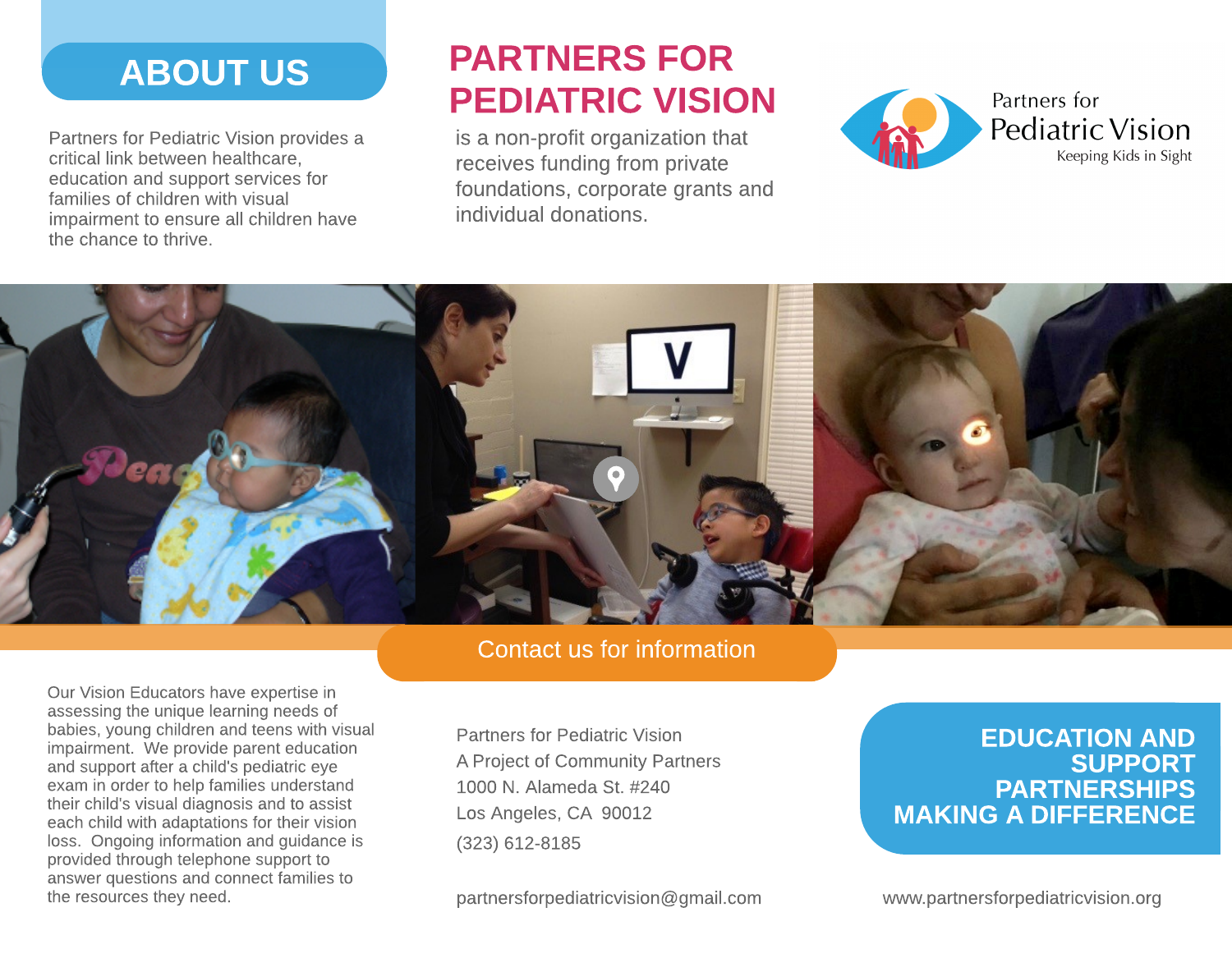# ABOUT US

Partners for Pediatric Vision provides a critical link between healthcare, education and support services for families of children with visual impairment to ensure all children have the chance to thrive.

# PARTNERS FOR PEDIATRIC VISION

is a non-profit organization that receives funding from private foundations, corporate grants and individual donations.





Contact us for information

Our Vision Educators have expertise in assessing the unique learning needs of babies, young children and teens with visual impairment. We provide parent education and support after a child's pediatric eye exam in order to help families understand their child's visual diagnosis and to assist each child with adaptations for their vision loss. Ongoing information and guidance is provided through telephone support to answer questions and connect families to the resources they need.

[Partners](https://goo.gl/maps/CNKykRDZCUP2) [for](https://goo.gl/maps/CNKykRDZCUP2) [Pediatric](https://goo.gl/maps/CNKykRDZCUP2) [Vision](https://goo.gl/maps/CNKykRDZCUP2) [A](https://goo.gl/maps/CNKykRDZCUP2) [Project](https://goo.gl/maps/CNKykRDZCUP2) [of](https://goo.gl/maps/CNKykRDZCUP2) [Community](https://goo.gl/maps/CNKykRDZCUP2) [Partners](https://goo.gl/maps/CNKykRDZCUP2) [1000](https://goo.gl/maps/CNKykRDZCUP2) [N.](https://goo.gl/maps/CNKykRDZCUP2) [Alameda](https://goo.gl/maps/CNKykRDZCUP2) [St.](https://goo.gl/maps/CNKykRDZCUP2) [#240](https://goo.gl/maps/CNKykRDZCUP2) [Los](https://goo.gl/maps/CNKykRDZCUP2) [Angeles,](https://goo.gl/maps/CNKykRDZCUP2) [CA](https://goo.gl/maps/CNKykRDZCUP2) [90012](https://goo.gl/maps/CNKykRDZCUP2) (323) 612-8185

[partnersforpediatricvision@gmail.com](mailto:partnersforpediatricvision@gmail.com)

### EDUCATION AND SUPPORT **PARTNERSHIPS** MAKING A DIFFERENCE

[www.partnersforpediatricvision.org](http://www.partnersforpediatricvision.org)